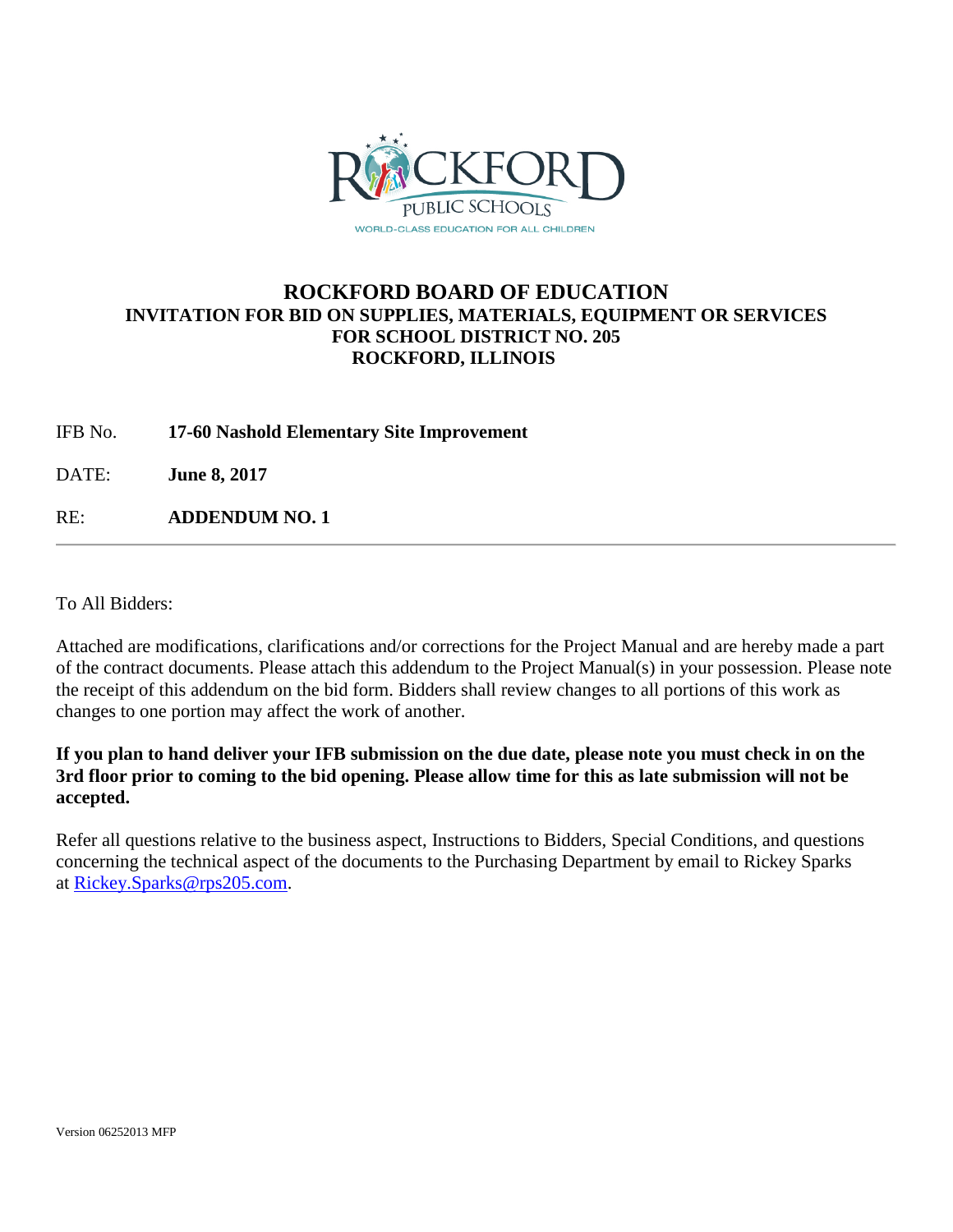

## **ROCKFORD BOARD OF EDUCATION INVITATION FOR BID ON SUPPLIES, MATERIALS, EQUIPMENT OR SERVICES FOR SCHOOL DISTRICT NO. 205 ROCKFORD, ILLINOIS**

IFB No. **17-60 Nashold Elementary Site Improvement**

DATE: **June 8, 2017**

RE: **ADDENDUM NO. 1**

To All Bidders:

Attached are modifications, clarifications and/or corrections for the Project Manual and are hereby made a part of the contract documents. Please attach this addendum to the Project Manual(s) in your possession. Please note the receipt of this addendum on the bid form. Bidders shall review changes to all portions of this work as changes to one portion may affect the work of another.

**If you plan to hand deliver your IFB submission on the due date, please note you must check in on the 3rd floor prior to coming to the bid opening. Please allow time for this as late submission will not be accepted.**

Refer all questions relative to the business aspect, Instructions to Bidders, Special Conditions, and questions concerning the technical aspect of the documents to the Purchasing Department by email to Rickey Sparks at [Rickey.Sparks@rps205.com.](mailto:Rickey.Sparks@rps205.com)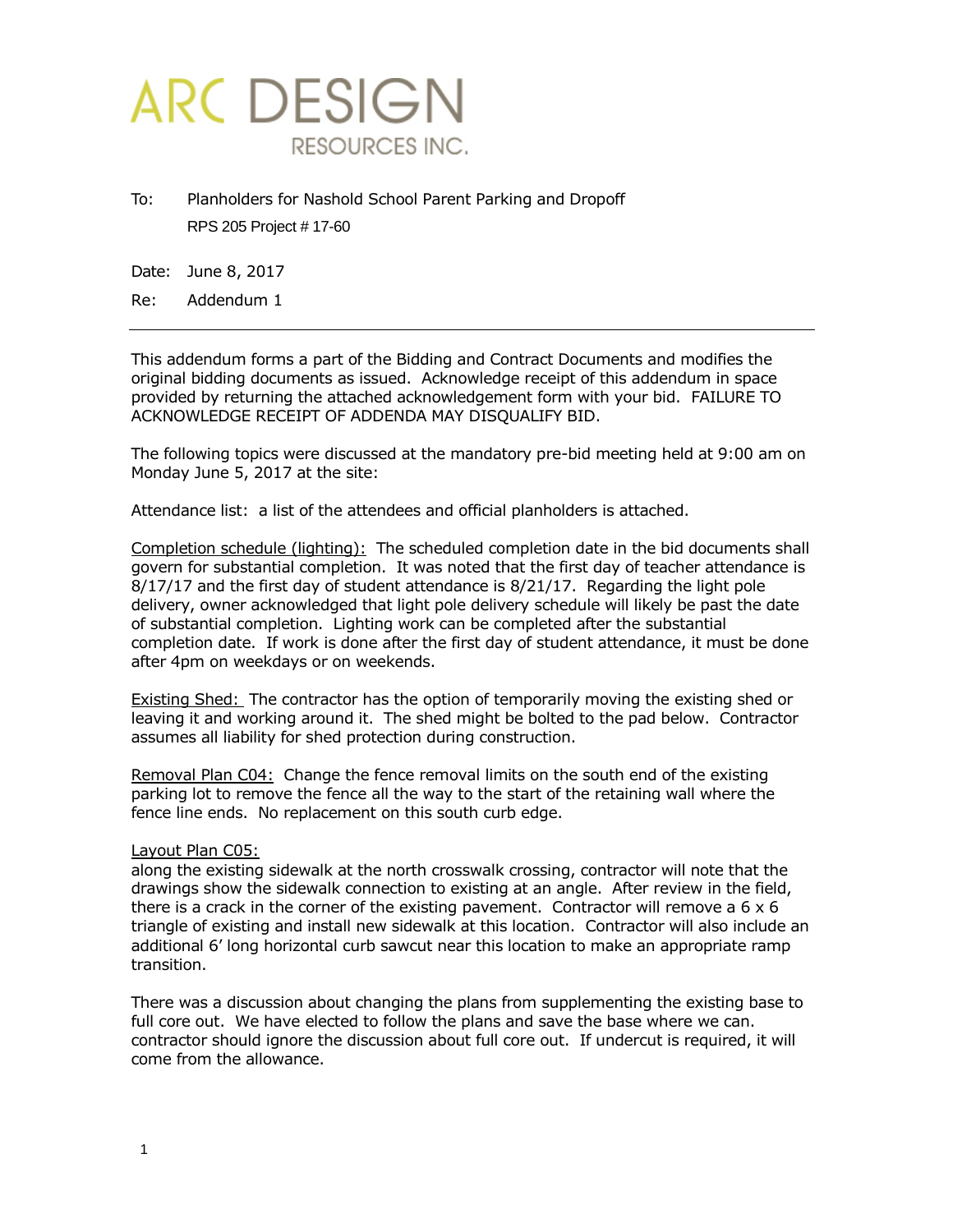

To: Planholders for Nashold School Parent Parking and Dropoff RPS 205 Project # 17-60

Date: June 8, 2017

Re: Addendum 1

This addendum forms a part of the Bidding and Contract Documents and modifies the original bidding documents as issued. Acknowledge receipt of this addendum in space provided by returning the attached acknowledgement form with your bid. FAILURE TO ACKNOWLEDGE RECEIPT OF ADDENDA MAY DISQUALIFY BID.

The following topics were discussed at the mandatory pre-bid meeting held at 9:00 am on Monday June 5, 2017 at the site:

Attendance list: a list of the attendees and official planholders is attached.

Completion schedule (lighting): The scheduled completion date in the bid documents shall govern for substantial completion. It was noted that the first day of teacher attendance is 8/17/17 and the first day of student attendance is 8/21/17. Regarding the light pole delivery, owner acknowledged that light pole delivery schedule will likely be past the date of substantial completion. Lighting work can be completed after the substantial completion date. If work is done after the first day of student attendance, it must be done after 4pm on weekdays or on weekends.

Existing Shed: The contractor has the option of temporarily moving the existing shed or leaving it and working around it. The shed might be bolted to the pad below. Contractor assumes all liability for shed protection during construction.

Removal Plan C04: Change the fence removal limits on the south end of the existing parking lot to remove the fence all the way to the start of the retaining wall where the fence line ends. No replacement on this south curb edge.

### Layout Plan C05:

along the existing sidewalk at the north crosswalk crossing, contractor will note that the drawings show the sidewalk connection to existing at an angle. After review in the field, there is a crack in the corner of the existing pavement. Contractor will remove a  $6 \times 6$ triangle of existing and install new sidewalk at this location. Contractor will also include an additional 6' long horizontal curb sawcut near this location to make an appropriate ramp transition.

There was a discussion about changing the plans from supplementing the existing base to full core out. We have elected to follow the plans and save the base where we can. contractor should ignore the discussion about full core out. If undercut is required, it will come from the allowance.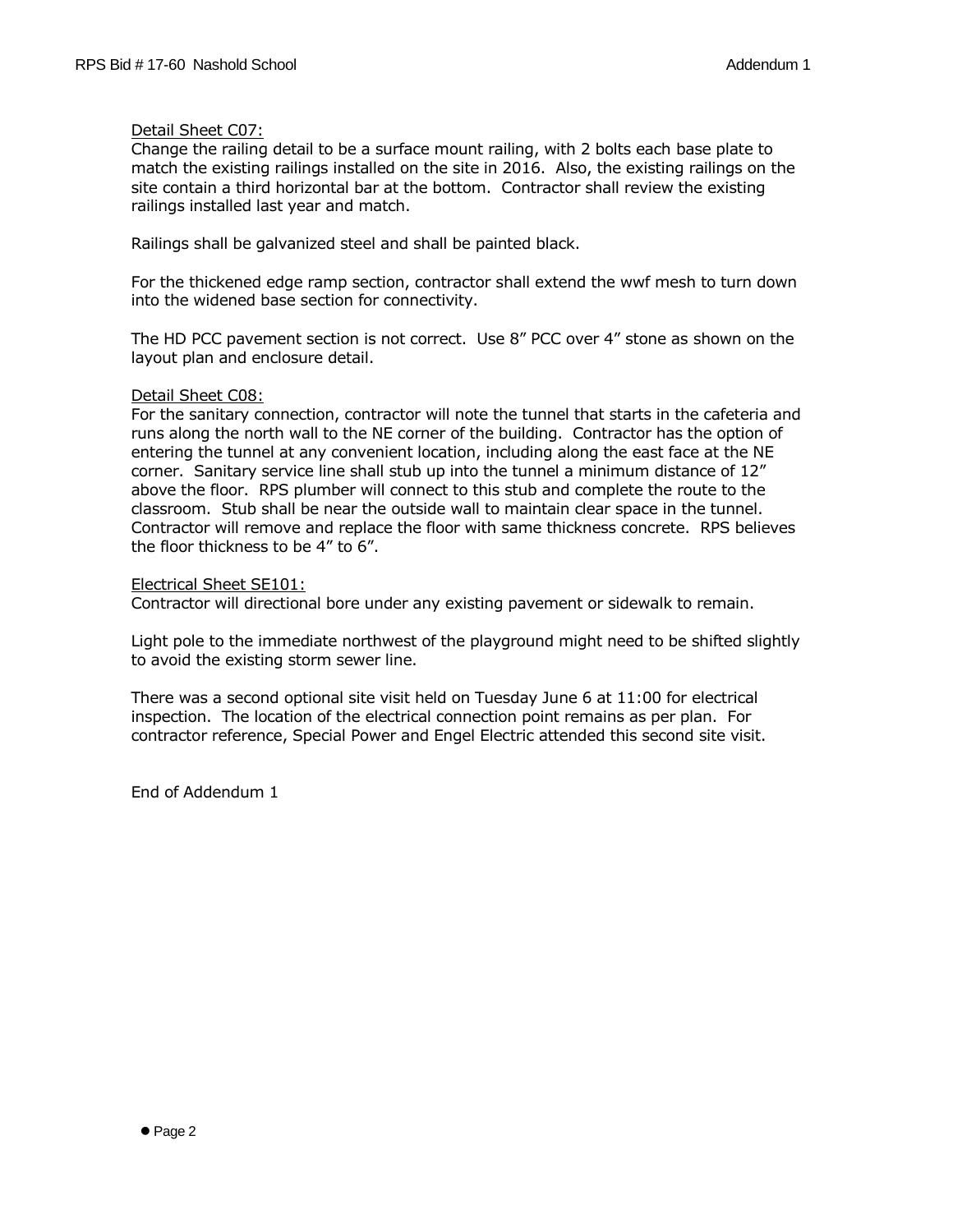### Detail Sheet C07:

Change the railing detail to be a surface mount railing, with 2 bolts each base plate to match the existing railings installed on the site in 2016. Also, the existing railings on the site contain a third horizontal bar at the bottom. Contractor shall review the existing railings installed last year and match.

Railings shall be galvanized steel and shall be painted black.

For the thickened edge ramp section, contractor shall extend the wwf mesh to turn down into the widened base section for connectivity.

The HD PCC pavement section is not correct. Use 8" PCC over 4" stone as shown on the layout plan and enclosure detail.

### Detail Sheet C08:

For the sanitary connection, contractor will note the tunnel that starts in the cafeteria and runs along the north wall to the NE corner of the building. Contractor has the option of entering the tunnel at any convenient location, including along the east face at the NE corner. Sanitary service line shall stub up into the tunnel a minimum distance of 12" above the floor. RPS plumber will connect to this stub and complete the route to the classroom. Stub shall be near the outside wall to maintain clear space in the tunnel. Contractor will remove and replace the floor with same thickness concrete. RPS believes the floor thickness to be 4" to 6".

Electrical Sheet SE101:

Contractor will directional bore under any existing pavement or sidewalk to remain.

Light pole to the immediate northwest of the playground might need to be shifted slightly to avoid the existing storm sewer line.

There was a second optional site visit held on Tuesday June 6 at 11:00 for electrical inspection. The location of the electrical connection point remains as per plan. For contractor reference, Special Power and Engel Electric attended this second site visit.

End of Addendum 1